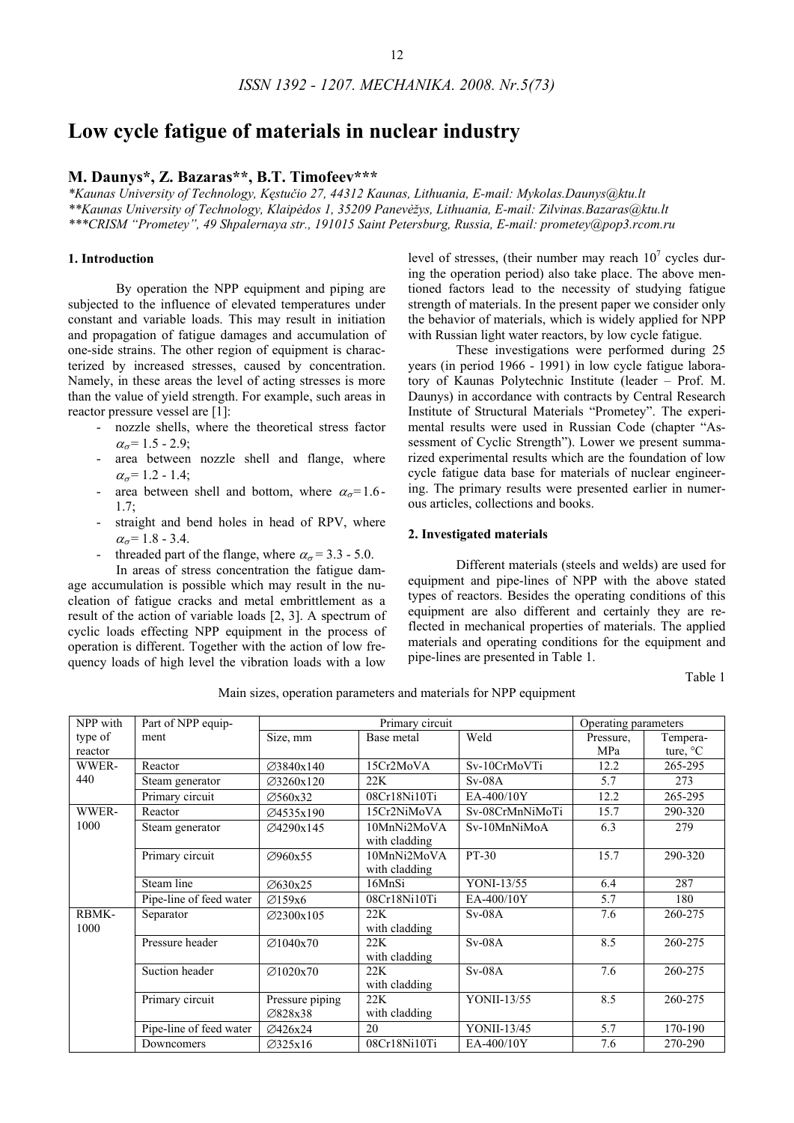# **Low cycle fatigue of materials in nuclear industry**

# **M. Daunys\*, Z. Bazaras\*\*, B.T. Timofeev\*\*\***

*\*Kaunas University of Technology, Kęstučio 27, 44312 Kaunas, Lithuania, E-mail: Mykolas.Daunys@ktu.lt \*\*Kaunas University of Technology, Klaipėdos 1, 35209 Panevėžys, Lithuania, E-mail: Zilvinas.Bazaras@ktu.lt \*\*\*CRISM "Prometey", 49 Shpalernaya str., 191015 Saint Petersburg, Russia, E-mail: prometey@pop3.rcom.ru* 

## **1. Introduction**

By operation the NPP equipment and piping are subjected to the influence of elevated temperatures under constant and variable loads. This may result in initiation and propagation of fatigue damages and accumulation of one-side strains. The other region of equipment is characterized by increased stresses, caused by concentration. Namely, in these areas the level of acting stresses is more than the value of yield strength. For example, such areas in reactor pressure vessel are [1]:

- nozzle shells, where the theoretical stress factor  $\alpha_{\sigma} = 1.5 - 2.9$ ;
- area between nozzle shell and flange, where  $\alpha_{\sigma} = 1.2 - 1.4;$
- area between shell and bottom, where  $\alpha_{\sigma} = 1.6$ - $1.7$
- straight and bend holes in head of RPV, where  $\alpha_{\sigma} = 1.8 - 3.4.$
- threaded part of the flange, where  $\alpha_{\sigma} = 3.3 5.0$ .

In areas of stress concentration the fatigue damage accumulation is possible which may result in the nucleation of fatigue cracks and metal embrittlement as a result of the action of variable loads [2, 3]. A spectrum of cyclic loads effecting NPP equipment in the process of operation is different. Together with the action of low frequency loads of high level the vibration loads with a low

level of stresses, (their number may reach  $10<sup>7</sup>$  cycles during the operation period) also take place. The above mentioned factors lead to the necessity of studying fatigue strength of materials. In the present paper we consider only the behavior of materials, which is widely applied for NPP with Russian light water reactors, by low cycle fatigue.

These investigations were performed during 25 years (in period 1966 - 1991) in low cycle fatigue laboratory of Kaunas Polytechnic Institute (leader – Prof. M. Daunys) in accordance with contracts by Central Research Institute of Structural Materials "Prometey". The experimental results were used in Russian Code (chapter "Assessment of Cyclic Strength"). Lower we present summarized experimental results which are the foundation of low cycle fatigue data base for materials of nuclear engineering. The primary results were presented earlier in numerous articles, collections and books.

#### **2. Investigated materials**

Different materials (steels and welds) are used for equipment and pipe-lines of NPP with the above stated types of reactors. Besides the operating conditions of this equipment are also different and certainly they are reflected in mechanical properties of materials. The applied materials and operating conditions for the equipment and pipe-lines are presented in Table 1.

Table 1

Main sizes, operation parameters and materials for NPP equipment

| NPP with      | Part of NPP equip-      |                            | Primary circuit              | Operating parameters |           |                    |
|---------------|-------------------------|----------------------------|------------------------------|----------------------|-----------|--------------------|
| type of       | Size, mm<br>ment        |                            | Base metal                   | Weld                 | Pressure, | Tempera-           |
| reactor       |                         |                            |                              |                      | MPa       | ture, $\mathrm{C}$ |
| WWER-         | Reactor                 | $\varnothing$ 3840x140     | 15Cr2MoVA                    | Sv-10CrMoVTi         | 12.2      | 265-295            |
| 440           | Steam generator         | ⊘3260x120                  | 22K                          | $Sv-08A$             | 5.7       | 273                |
|               | Primary circuit         | ⊘560x32                    | 08Cr18Ni10Ti                 | EA-400/10Y           | 12.2      | 265-295            |
| WWER-         | Reactor                 | ⊘4535x190                  | 15Cr2NiMoVA                  | Sv-08CrMnNiMoTi      | 15.7      | 290-320            |
| 1000          | Steam generator         | ⊘4290x145                  | 10MnNi2MoVA<br>with cladding | Sv-10MnNiMoA         | 6.3       | 279                |
|               | Primary circuit         | ⊘960x55                    | 10MnNi2MoVA<br>with cladding | PT-30                | 15.7      | 290-320            |
|               | Steam line              | ⊘630x25                    | 16MnSi                       | YONI-13/55           | 6.4       | 287                |
|               | Pipe-line of feed water | Ø159x6                     | 08Cr18Ni10Ti                 | EA-400/10Y           | 5.7       | 180                |
| RBMK-<br>1000 | Separator               | $\varnothing$ 2300x105     | 22K<br>with cladding         | $Sv-08A$             | 7.6       | 260-275            |
|               | Pressure header         | $\varnothing$ 1040x70      | 22K<br>with cladding         | $Sv-08A$             | 8.5       | 260-275            |
|               | Suction header          | $\varnothing$ 1020x70      | 22K<br>with cladding         | $Sv-08A$             | 7.6       | 260-275            |
|               | Primary circuit         | Pressure piping<br>⊘828x38 | 22K<br>with cladding         | YONII-13/55          | 8.5       | 260-275            |
|               | Pipe-line of feed water | Ø426x24                    | 20                           | YONII-13/45          | 5.7       | 170-190            |
|               | Downcomers              | Ø325x16                    | 08Cr18Ni10Ti                 | EA-400/10Y           | 7.6       | 270-290            |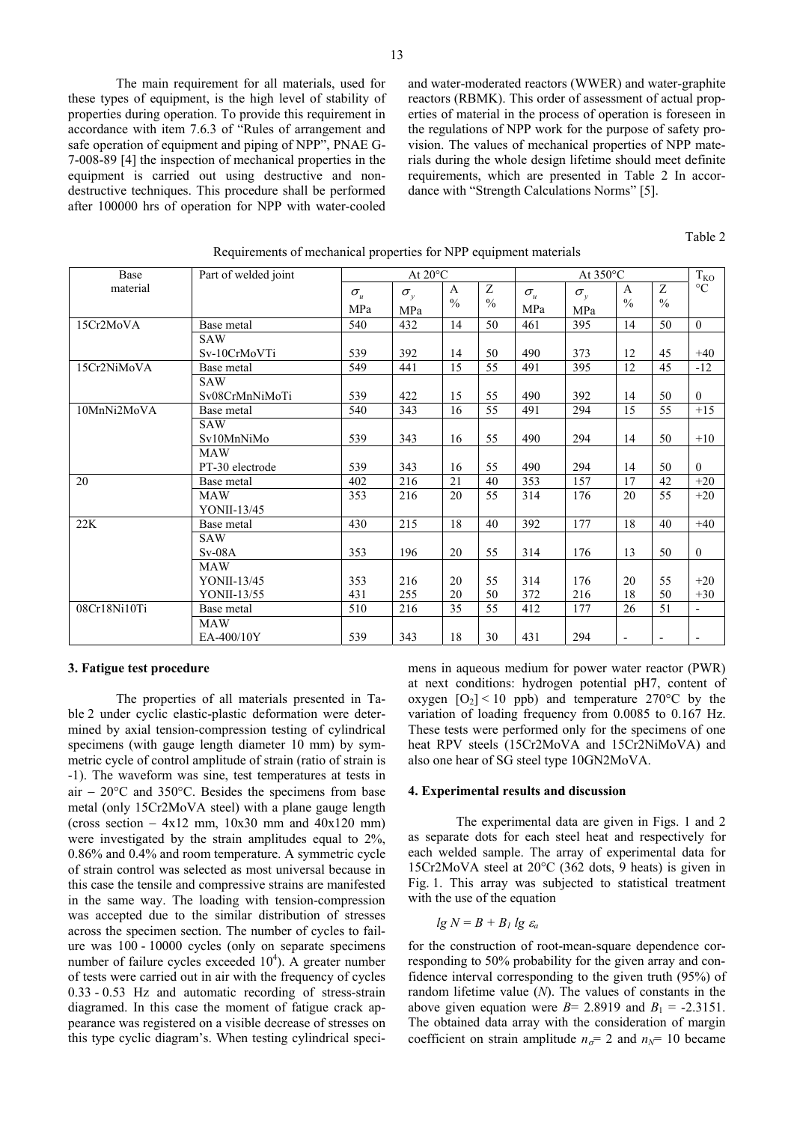The main requirement for all materials, used for these types of equipment, is the high level of stability of properties during operation. To provide this requirement in accordance with item 7.6.3 of "Rules of arrangement and safe operation of equipment and piping of NPP", PNAE G-7-008-89 [4] the inspection of mechanical properties in the equipment is carried out using destructive and nondestructive techniques. This procedure shall be performed after 100000 hrs of operation for NPP with water-cooled

and water-moderated reactors (WWER) and water-graphite reactors (RBMK). This order of assessment of actual properties of material in the process of operation is foreseen in the regulations of NPP work for the purpose of safety provision. The values of mechanical properties of NPP materials during the whole design lifetime should meet definite requirements, which are presented in Table 2 In accordance with "Strength Calculations Norms" [5].

Table 2

| Base         | Part of welded joint | At $20^{\circ}$ C |              |                 | At 350°C      |                                 |              | $T_{KO}$                 |                 |                          |
|--------------|----------------------|-------------------|--------------|-----------------|---------------|---------------------------------|--------------|--------------------------|-----------------|--------------------------|
| material     |                      | $\sigma_u$        | $\sigma_{y}$ | $\mathbf{A}$    | Z             | $\sigma_{\scriptscriptstyle u}$ | $\sigma_{y}$ | $\mathbf{A}$             | Z               | $\rm ^{\circ}C$          |
|              |                      | MPa               | MPa          | $\frac{0}{0}$   | $\frac{0}{0}$ | MPa                             | MPa          | $\frac{0}{0}$            | $\frac{0}{0}$   |                          |
| 15Cr2MoVA    | Base metal           | 540               | 432          | 14              | 50            | 461                             | 395          | 14                       | 50              | $\overline{0}$           |
|              | SAW                  |                   |              |                 |               |                                 |              |                          |                 |                          |
|              | Sv-10CrMoVTi         | 539               | 392          | 14              | 50            | 490                             | 373          | 12                       | 45              | $+40$                    |
| 15Cr2NiMoVA  | Base metal           | 549               | 441          | $\overline{15}$ | 55            | 491                             | 395          | $\overline{12}$          | $\overline{45}$ | $-12$                    |
|              | <b>SAW</b>           |                   |              |                 |               |                                 |              |                          |                 |                          |
|              | Sv08CrMnNiMoTi       | 539               | 422          | 15              | 55            | 490                             | 392          | 14                       | 50              | $\theta$                 |
| 10MnNi2MoVA  | Base metal           | 540               | 343          | 16              | 55            | 491                             | 294          | 15                       | $\overline{55}$ | $+15$                    |
|              | <b>SAW</b>           |                   |              |                 |               |                                 |              |                          |                 |                          |
|              | Sv10MnNiMo           | 539               | 343          | 16              | 55            | 490                             | 294          | 14                       | 50              | $+10$                    |
|              | <b>MAW</b>           |                   |              |                 |               |                                 |              |                          |                 |                          |
|              | PT-30 electrode      | 539               | 343          | 16              | 55            | 490                             | 294          | 14                       | 50              | $\theta$                 |
| 20           | Base metal           | 402               | 216          | 21              | 40            | 353                             | 157          | 17                       | 42              | $+20$                    |
|              | MAW                  | 353               | 216          | 20              | 55            | 314                             | 176          | 20                       | 55              | $+20$                    |
|              | YONII-13/45          |                   |              |                 |               |                                 |              |                          |                 |                          |
| 22K          | Base metal           | 430               | 215          | 18              | 40            | 392                             | 177          | 18                       | 40              | $+40$                    |
|              | <b>SAW</b>           |                   |              |                 |               |                                 |              |                          |                 |                          |
|              | $Sv-08A$             | 353               | 196          | 20              | 55            | 314                             | 176          | 13                       | 50              | $\overline{0}$           |
|              | <b>MAW</b>           |                   |              |                 |               |                                 |              |                          |                 |                          |
|              | YONII-13/45          | 353               | 216          | 20              | 55            | 314                             | 176          | 20                       | 55              | $+20$                    |
|              | YONII-13/55          | 431               | 255          | 20              | 50            | 372                             | 216          | 18                       | 50              | $+30$                    |
| 08Cr18Ni10Ti | Base metal           | 510               | 216          | 35              | 55            | 412                             | 177          | 26                       | 51              | $\overline{\phantom{a}}$ |
|              | <b>MAW</b>           |                   |              |                 |               |                                 |              |                          |                 |                          |
|              | EA-400/10Y           | 539               | 343          | 18              | 30            | 431                             | 294          | $\overline{\phantom{a}}$ |                 |                          |

## Requirements of mechanical properties for NPP equipment materials

#### **3. Fatigue test procedure**

The properties of all materials presented in Table 2 under cyclic elastic-plastic deformation were determined by axial tension-compression testing of cylindrical specimens (with gauge length diameter 10 mm) by symmetric cycle of control amplitude of strain (ratio of strain is -1). The waveform was sine, test temperatures at tests in air − 20°C and 350°C. Besides the specimens from base metal (only 15Cr2MoVA steel) with a plane gauge length (cross section  $-4x12$  mm,  $10x30$  mm and  $40x120$  mm) were investigated by the strain amplitudes equal to 2%, 0.86% and 0.4% and room temperature. A symmetric cycle of strain control was selected as most universal because in this case the tensile and compressive strains are manifested in the same way. The loading with tension-compression was accepted due to the similar distribution of stresses across the specimen section. The number of cycles to failure was 100 - 10000 cycles (only on separate specimens number of failure cycles exceeded  $10<sup>4</sup>$ ). A greater number of tests were carried out in air with the frequency of cycles 0.33 - 0.53 Hz and automatic recording of stress-strain diagramed. In this case the moment of fatigue crack appearance was registered on a visible decrease of stresses on this type cyclic diagram's. When testing cylindrical specimens in aqueous medium for power water reactor (PWR) at next conditions: hydrogen potential pH7, content of oxygen  $[O_2]$  < 10 ppb) and temperature 270°C by the variation of loading frequency from 0.0085 to 0.167 Hz. These tests were performed only for the specimens of one heat RPV steels (15Cr2MoVA and 15Cr2NiMoVA) and also one hear of SG steel type 10GN2MoVA.

#### **4. Experimental results and discussion**

The experimental data are given in Figs. 1 and 2 as separate dots for each steel heat and respectively for each welded sample. The array of experimental data for 15Cr2MoVA steel at 20°C (362 dots, 9 heats) is given in Fig. 1. This array was subjected to statistical treatment with the use of the equation

$$
lg\,N = B + B_I\,lg\,\varepsilon_a
$$

for the construction of root-mean-square dependence corresponding to 50% probability for the given array and confidence interval corresponding to the given truth (95%) of random lifetime value (*N*). The values of constants in the above given equation were  $B= 2.8919$  and  $B_1 = -2.3151$ . The obtained data array with the consideration of margin coefficient on strain amplitude  $n_{\sigma} = 2$  and  $n_{\gamma} = 10$  became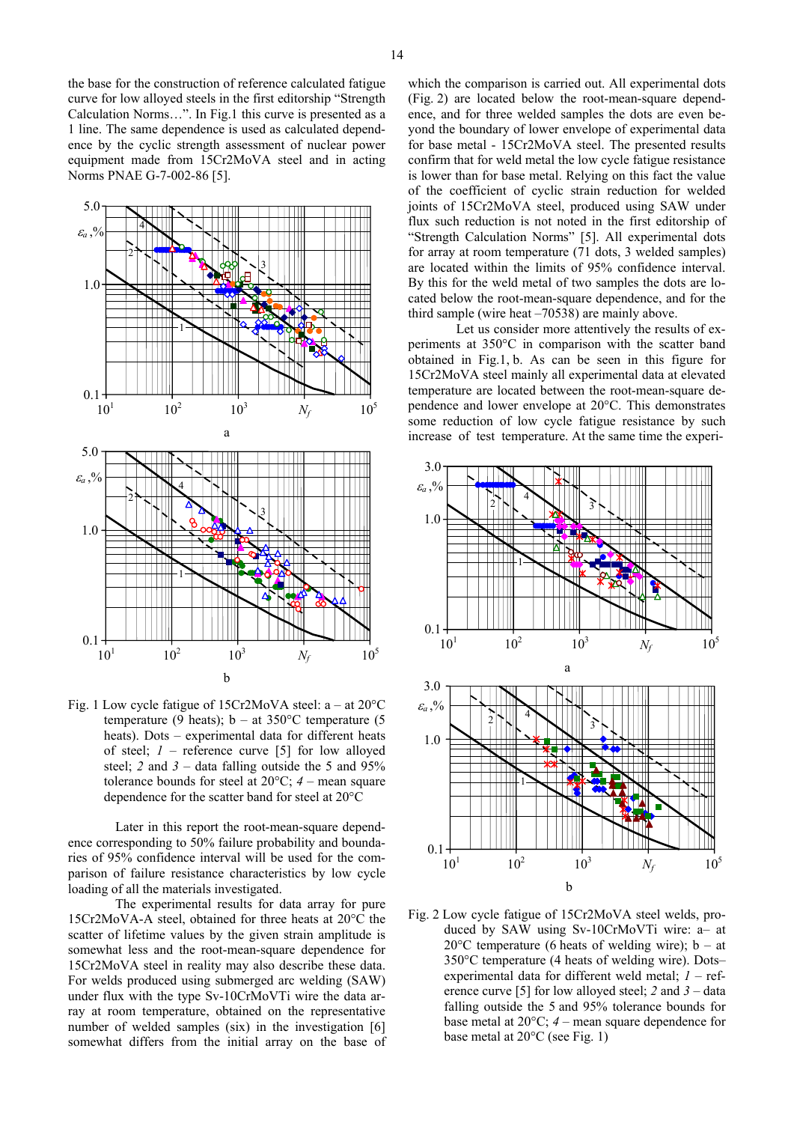the base for the construction of reference calculated fatigue curve for low alloyed steels in the first editorship "Strength Calculation Norms…". In Fig.1 this curve is presented as a 1 line. The same dependence is used as calculated dependence by the cyclic strength assessment of nuclear power equipment made from 15Cr2MoVA steel and in acting Norms PNAE G-7-002-86 [5].



Fig. 1 Low cycle fatigue of 15Cr2МoVА steel: a – at 20°С temperature (9 heats);  $b - at 350^{\circ}$ C temperature (5 heats). Dots – experimental data for different heats of steel;  $I$  – reference curve [5] for low alloyed steel; 2 and  $3 -$  data falling outside the 5 and  $95\%$ tolerance bounds for steel at  $20^{\circ}$ C;  $4$  – mean square dependence for the scatter band for steel at 20°C

Later in this report the root-mean-square dependence corresponding to 50% failure probability and boundaries of 95% confidence interval will be used for the comparison of failure resistance characteristics by low cycle loading of all the materials investigated.

 The experimental results for data array for pure 15Cr2MoVA-A steel, obtained for three heats at 20°C the scatter of lifetime values by the given strain amplitude is somewhat less and the root-mean-square dependence for 15Cr2MoVA steel in reality may also describe these data. For welds produced using submerged arc welding (SAW) under flux with the type Sv-10CrMoVTi wire the data array at room temperature, obtained on the representative number of welded samples (six) in the investigation [6] somewhat differs from the initial array on the base of which the comparison is carried out. All experimental dots (Fig. 2) are located below the root-mean-square dependence, and for three welded samples the dots are even beyond the boundary of lower envelope of experimental data for base metal - 15Cr2MoVA steel. The presented results confirm that for weld metal the low cycle fatigue resistance is lower than for base metal. Relying on this fact the value of the coefficient of cyclic strain reduction for welded joints of 15Cr2MoVA steel, produced using SAW under flux such reduction is not noted in the first editorship of "Strength Calculation Norms" [5]. All experimental dots for array at room temperature (71 dots, 3 welded samples) are located within the limits of 95% confidence interval. By this for the weld metal of two samples the dots are located below the root-mean-square dependence, and for the third sample (wire heat –70538) are mainly above.

Let us consider more attentively the results of experiments at 350°C in comparison with the scatter band obtained in Fig.1, b. As can be seen in this figure for 15Cr2MoVA steel mainly all experimental data at elevated temperature are located between the root-mean-square dependence and lower envelope at 20°C. This demonstrates some reduction of low cycle fatigue resistance by such increase of test temperature. At the same time the experi-



Fig. 2 Low cycle fatigue of 15Cr2МoVА steel welds, produced by SAW using Sv-10CrMoVTi wire: a– at 20 $^{\circ}$ C temperature (6 heats of welding wire); b – at 350°C temperature (4 heats of welding wire). Dots– experimental data for different weld metal; *1* – reference curve [5] for low alloyed steel; *2* and *3* – data falling outside the 5 and 95% tolerance bounds for base metal at 20°C; *4* – mean square dependence for base metal at 20°C (see Fig. 1)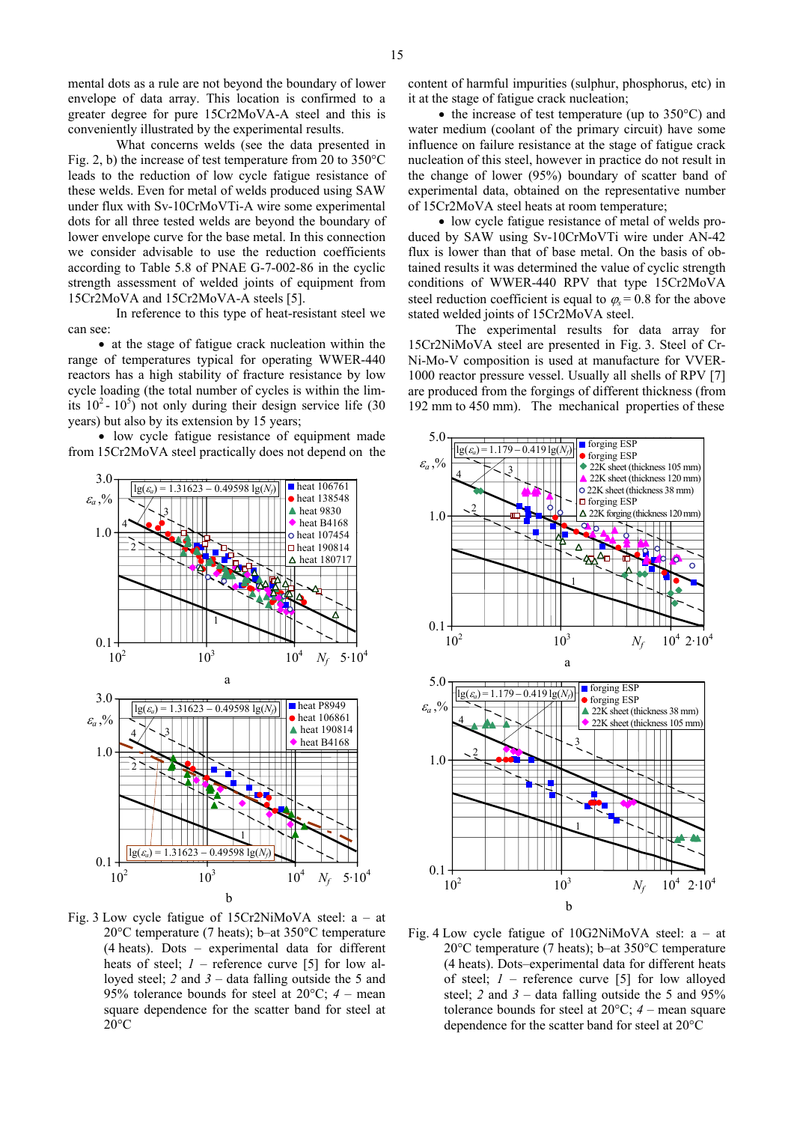mental dots as a rule are not beyond the boundary of lower envelope of data array. This location is confirmed to a greater degree for pure 15Cr2MoVA-A steel and this is conveniently illustrated by the experimental results.

What concerns welds (see the data presented in Fig. 2, b) the increase of test temperature from 20 to 350°C leads to the reduction of low cycle fatigue resistance of these welds. Even for metal of welds produced using SAW under flux with Sv-10CrMoVTi-A wire some experimental dots for all three tested welds are beyond the boundary of lower envelope curve for the base metal. In this connection we consider advisable to use the reduction coefficients according to Table 5.8 of PNAE G-7-002-86 in the cyclic strength assessment of welded joints of equipment from 15Cr2MoVA and 15Cr2MoVA-A steels [5].

In reference to this type of heat-resistant steel we stated welded joints of 15Cr2MoVA steel. can see: The experimental results for data array for

• at the stage of fatigue crack nucleation within the range of temperatures typical for operating WWER-440 reactors has a high stability of fracture resistance by low cycle loading (the total number of cycles is within the limits  $10^2 - 10^5$ ) not only during their design service life (30 years) but also by its extension by 15 years;

• low cycle fatigue resistance of equipment made from 15Cr2MoVA steel practically does not depend on the



Fig. 3 Low cycle fatigue of 15Cr2NiМoVА steel: a – at 20°С temperature (7 heats); b–at 350°C temperature (4 heats). Dots – experimental data for different heats of steel;  $I$  – reference curve [5] for low alloyed steel; *2* and *3* – data falling outside the 5 and 95% tolerance bounds for steel at 20°C; *4* – mean square dependence for the scatter band for steel at  $20^{\circ}$ C

content of harmful impurities (sulphur, phosphorus, etc) in it at the stage of fatigue crack nucleation;

• the increase of test temperature (up to 350 °C) and water medium (coolant of the primary circuit) have some influence on failure resistance at the stage of fatigue crack nucleation of this steel, however in practice do not result in the change of lower (95%) boundary of scatter band of experimental data, obtained on the representative number of 15Cr2MoVA steel heats at room temperature;

• low cycle fatigue resistance of metal of welds produced by SAW using Sv-10CrMoVTi wire under AN-42 flux is lower than that of base metal. On the basis of obtained results it was determined the value of cyclic strength conditions of WWER-440 RPV that type 15Cr2MoVA steel reduction coefficient is equal to  $\varphi_s = 0.8$  for the above

15Cr2NiMoVA steel are presented in Fig. 3. Steel of Cr-Ni-Mo-V composition is used at manufacture for VVER-1000 reactor pressure vessel. Usually all shells of RPV [7] are produced from the forgings of different thickness (from 192 mm to 450 mm). The mechanical properties of these



Fig. 4 Low cycle fatigue of 10G2NiМoVА steel: a – at 20°С temperature (7 heats); b–at 350°C temperature (4 heats). Dots–experimental data for different heats of steel; *1* – reference curve [5] for low alloyed steel; 2 and  $3 -$  data falling outside the 5 and  $95\%$ tolerance bounds for steel at  $20^{\circ}$ C;  $4$  – mean square dependence for the scatter band for steel at 20°C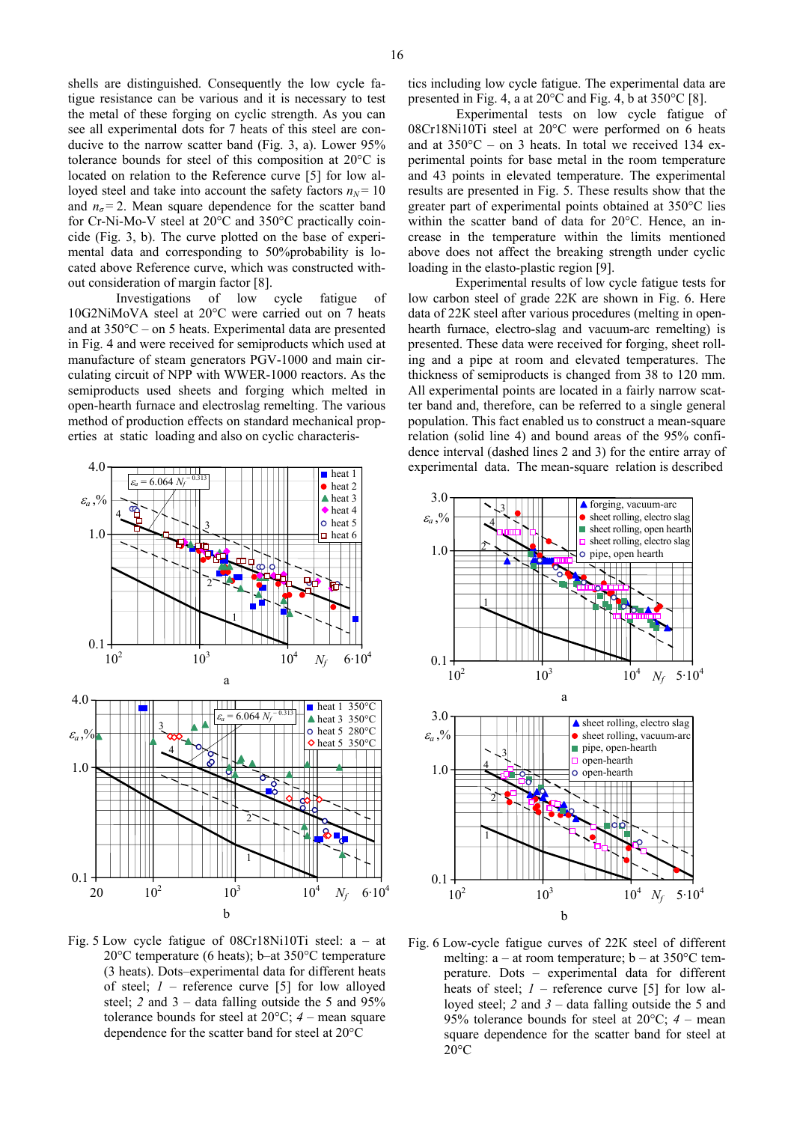16

shells are distinguished. Consequently the low cycle fatigue resistance can be various and it is necessary to test the metal of these forging on cyclic strength. As you can see all experimental dots for 7 heats of this steel are conducive to the narrow scatter band (Fig. 3, a). Lower 95% tolerance bounds for steel of this composition at 20°C is located on relation to the Reference curve [5] for low alloyed steel and take into account the safety factors  $n_N = 10$ and  $n_{\sigma}$  = 2. Mean square dependence for the scatter band for Cr-Ni-Mo-V steel at 20°C and 350°C practically coincide (Fig. 3, b). The curve plotted on the base of experimental data and corresponding to 50%probability is located above Reference curve, which was constructed without consideration of margin factor [8]. Experimental results of low cycle fatigue tests for

Investigations of low cycle fatigue of 10G2NiМoVА steel at 20°С were carried out on 7 heats and at 350°C – on 5 heats. Experimental data are presented in Fig. 4 and were received for semiproducts which used at manufacture of steam generators PGV-1000 and main circulating circuit of NPP with WWER-1000 reactors. As the semiproducts used sheets and forging which melted in open-hearth furnace and electroslag remelting. The various method of production effects on standard mechanical properties at static loading and also on cyclic characteris-



Fig. 5 Low cycle fatigue of 08Cr18Ni10Ti steel: a – at 20°С temperature (6 heats); b–at 350°C temperature (3 heats). Dots–experimental data for different heats of steel; *1* – reference curve [5] for low alloyed steel;  $2$  and  $3 -$  data falling outside the 5 and  $95\%$ tolerance bounds for steel at  $20^{\circ}$ C;  $4$  – mean square dependence for the scatter band for steel at 20°C

tics including low cycle fatigue. The experimental data are presented in Fig. 4, a at 20°C and Fig. 4, b at 350°C [8].

Experimental tests on low cycle fatigue of 08Cr18Ni10Ti steel at 20°С were performed on 6 heats and at 350°C – on 3 heats. In total we received 134 experimental points for base metal in the room temperature and 43 points in elevated temperature. The experimental results are presented in Fig. 5. These results show that the greater part of experimental points obtained at 350°C lies within the scatter band of data for 20°C. Hence, an increase in the temperature within the limits mentioned above does not affect the breaking strength under cyclic loading in the elasto-plastic region [9].

low carbon steel of grade 22К are shown in Fig. 6. Here data of 22К steel after various procedures (melting in openhearth furnace, electro-slag and vacuum-arc remelting) is presented. These data were received for forging, sheet rolling and a pipe at room and elevated temperatures. The thickness of semiproducts is changed from 38 to 120 mm. All experimental points are located in a fairly narrow scatter band and, therefore, can be referred to a single general population. This fact enabled us to construct a mean-square relation (solid line 4) and bound areas of the 95% confidence interval (dashed lines 2 and 3) for the entire array of experimental data. The mean-square relation is described



Fig. 6 Low-cycle fatigue curves of 22К steel of different melting:  $a - at$  room temperature;  $b - at$  350 °C temperature. Dots – experimental data for different heats of steel;  $I$  – reference curve [5] for low alloyed steel; *2* and *3* – data falling outside the 5 and 95% tolerance bounds for steel at 20°C; *4* – mean square dependence for the scatter band for steel at  $20^{\circ}$ C